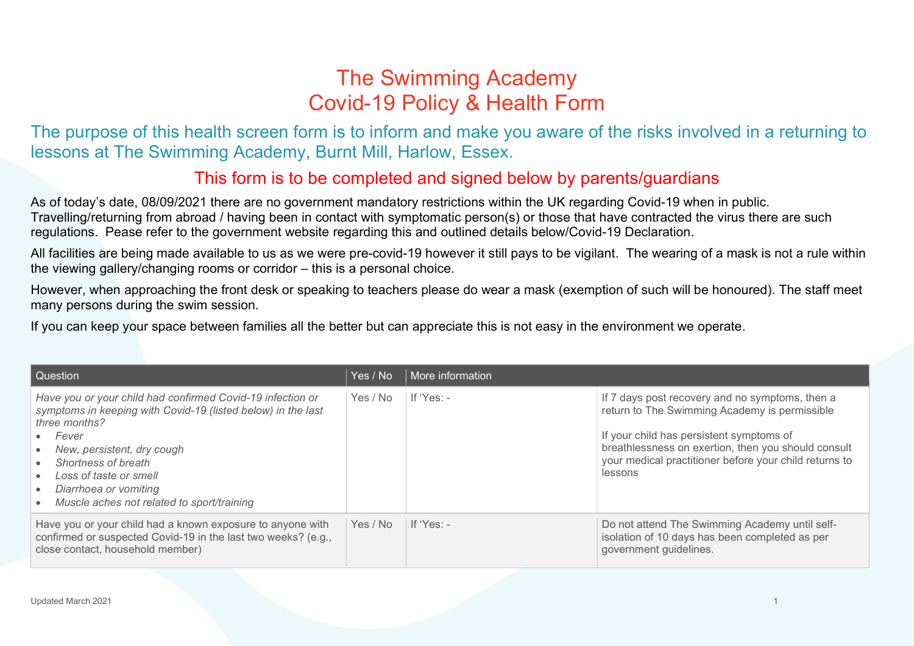## The Swimming Academy Covid-19 Policy & Health Form

The purpose of this health screen form is to inform and make you aware of the risks involved in a returning to lessons at The Swimming Academy, Burnt Mill, Harlow, Essex.

## This form is to be completed and signed below by parents/guardians

As of today's date, 08/09/2021 there are no government mandatory restrictions within the UK regarding Covid-19 when in public. Travelling/returning from abroad / having been in contact with symptomatic person(s) or those that have contracted the virus there are such regulations. Pease refer to the government website regarding this and outlined details below/Covid-19 Declaration.

All facilities are being made available to us as we were pre-covid-19 however it still pays to be vigilant. The wearing of a mask is not a rule within the viewing gallery/changing rooms or corridor – this is a personal choice.

However, when approaching the front desk or speaking to teachers please do wear a mask (exemption of such will be honoured). The staff meet many persons during the swim session.

If you can keep your space between families all the better but can appreciate this is not easy in the environment we operate.

| Question                                                                                                                                                                                                                                                                                                   | Yes / No | More information |                                                                                                                                                                                                                                                                          |
|------------------------------------------------------------------------------------------------------------------------------------------------------------------------------------------------------------------------------------------------------------------------------------------------------------|----------|------------------|--------------------------------------------------------------------------------------------------------------------------------------------------------------------------------------------------------------------------------------------------------------------------|
| Have you or your child had confirmed Covid-19 infection or<br>symptoms in keeping with Covid-19 (listed below) in the last<br>three months?<br>Fever<br>New, persistent, dry cough<br>Shortness of breath<br>Loss of taste or smell<br>Diarrhoea or vomiting<br>Muscle aches not related to sport/training | Yes / No | If 'Yes: -       | If 7 days post recovery and no symptoms, then a<br>return to The Swimming Academy is permissible<br>If your child has persistent symptoms of<br>breathlessness on exertion, then you should consult<br>your medical practitioner before your child returns to<br>lessons |
| Have you or your child had a known exposure to anyone with<br>confirmed or suspected Covid-19 in the last two weeks? (e.g.,<br>close contact, household member)                                                                                                                                            | Yes / No | If 'Yes: $-$     | Do not attend The Swimming Academy until self-<br>isolation of 10 days has been completed as per<br>government guidelines.                                                                                                                                               |